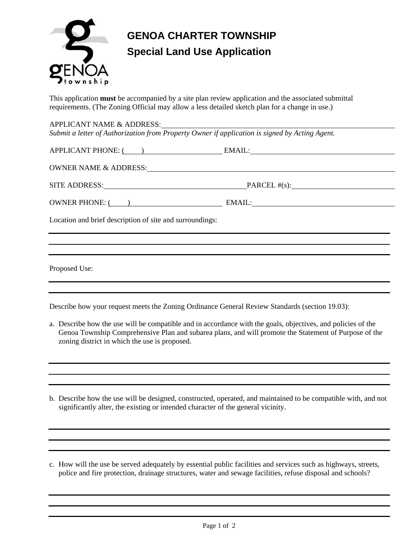

## **GENOA CHARTER TOWNSHIP Special Land Use Application**

This application **must** be accompanied by a site plan review application and the associated submittal requirements. (The Zoning Official may allow a less detailed sketch plan for a change in use.)

| APPLICANT NAME & ADDRESS:<br>Submit a letter of Authorization from Property Owner if application is signed by Acting Agent.                                                                                                    |                            |  |  |  |
|--------------------------------------------------------------------------------------------------------------------------------------------------------------------------------------------------------------------------------|----------------------------|--|--|--|
| APPLICANT PHONE: ( ) EMAIL: EMAIL:                                                                                                                                                                                             |                            |  |  |  |
| OWNER NAME & ADDRESS: NAME AND ARRIVE AND A SERIES AND A SERIES OF THE SERIES OF THE SERIES OF THE SERIES OF THE SERIES OF THE SERIES OF THE SERIES OF THE SERIES OF THE SERIES OF THE SERIES OF THE SERIES OF THE SERIES OF T |                            |  |  |  |
|                                                                                                                                                                                                                                | SITE ADDRESS: PARCEL #(s): |  |  |  |
| OWNER PHONE: ( ) EMAIL:                                                                                                                                                                                                        |                            |  |  |  |
| Location and brief description of site and surroundings:                                                                                                                                                                       |                            |  |  |  |
|                                                                                                                                                                                                                                |                            |  |  |  |
|                                                                                                                                                                                                                                |                            |  |  |  |
| Proposed Use:                                                                                                                                                                                                                  |                            |  |  |  |
|                                                                                                                                                                                                                                |                            |  |  |  |

Describe how your request meets the Zoning Ordinance General Review Standards (section 19.03):

- a. Describe how the use will be compatible and in accordance with the goals, objectives, and policies of the Genoa Township Comprehensive Plan and subarea plans, and will promote the Statement of Purpose of the zoning district in which the use is proposed.
- b. Describe how the use will be designed, constructed, operated, and maintained to be compatible with, and not significantly alter, the existing or intended character of the general vicinity.
- c. How will the use be served adequately by essential public facilities and services such as highways, streets, police and fire protection, drainage structures, water and sewage facilities, refuse disposal and schools?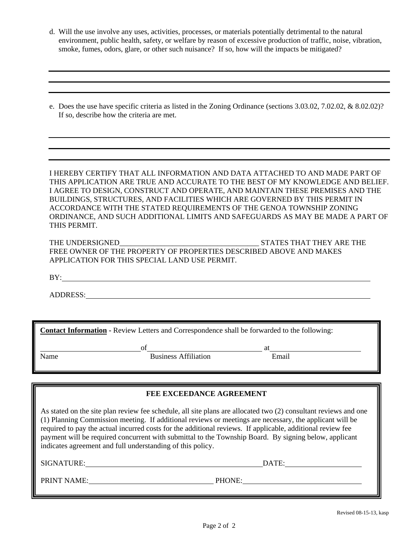- d. Will the use involve any uses, activities, processes, or materials potentially detrimental to the natural environment, public health, safety, or welfare by reason of excessive production of traffic, noise, vibration, smoke, fumes, odors, glare, or other such nuisance? If so, how will the impacts be mitigated?
- e. Does the use have specific criteria as listed in the Zoning Ordinance (sections 3.03.02, 7.02.02, & 8.02.02)? If so, describe how the criteria are met.

I HEREBY CERTIFY THAT ALL INFORMATION AND DATA ATTACHED TO AND MADE PART OF THIS APPLICATION ARE TRUE AND ACCURATE TO THE BEST OF MY KNOWLEDGE AND BELIEF. I AGREE TO DESIGN, CONSTRUCT AND OPERATE, AND MAINTAIN THESE PREMISES AND THE BUILDINGS, STRUCTURES, AND FACILITIES WHICH ARE GOVERNED BY THIS PERMIT IN ACCORDANCE WITH THE STATED REQUIREMENTS OF THE GENOA TOWNSHIP ZONING ORDINANCE, AND SUCH ADDITIONAL LIMITS AND SAFEGUARDS AS MAY BE MADE A PART OF THIS PERMIT.

| THE UNDERSIGNED                                                    | STATES THAT THEY ARE THE |
|--------------------------------------------------------------------|--------------------------|
| FREE OWNER OF THE PROPERTY OF PROPERTIES DESCRIBED ABOVE AND MAKES |                          |
| APPLICATION FOR THIS SPECIAL LAND USE PERMIT.                      |                          |

BY: The contract of the contract of the contract of the contract of the contract of the contract of the contract of the contract of the contract of the contract of the contract of the contract of the contract of the contra

ADDRESS:

**Contact Information -** Review Letters and Correspondence shall be forwarded to the following:

Name Business Affiliation Email

of at a strategies of a strategies of  $\overline{a}$  at  $\overline{a}$ 

**FEE EXCEEDANCE AGREEMENT** 

As stated on the site plan review fee schedule, all site plans are allocated two (2) consultant reviews and one (1) Planning Commission meeting. If additional reviews or meetings are necessary, the applicant will be required to pay the actual incurred costs for the additional reviews. If applicable, additional review fee payment will be required concurrent with submittal to the Township Board. By signing below, applicant indicates agreement and full understanding of this policy.

SIGNATURE: DATE:

PRINT NAME: PHONE: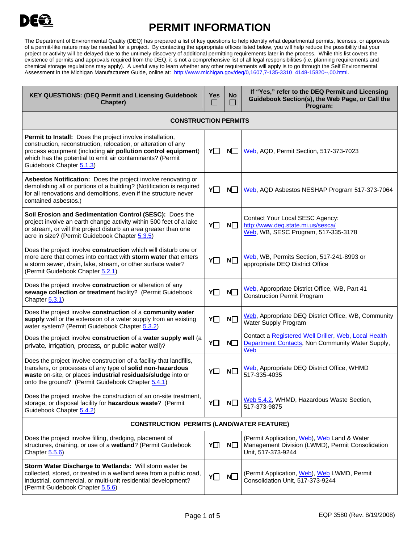## DE

## **PERMIT INFORMATION**

The Department of Environmental Quality (DEQ) has prepared a list of key questions to help identify what departmental permits, licenses, or approvals of a permit-like nature may be needed for a project. By contacting the appropriate offices listed below, you will help reduce the possibility that your project or activity will be delayed due to the untimely discovery of additional permitting requirements later in the process. While this list covers the existence of permits and approvals required from the DEQ, it is not a comprehensive list of all legal responsibilities (i.e. planning requirements and chemical storage regulations may apply). A useful way to learn whether any other requirements will apply is to go through the Self Environmental Assessment in the Michigan Manufacturers Guide, online at: [http://www.michigan.gov/deq/0,1607,7-135-3310\\_4148-15820--,00.html.](http://www.michigan.gov/deq/0,1607,7-135-3310_4148-15820--,00.html)

| <b>KEY QUESTIONS: (DEQ Permit and Licensing Guidebook</b><br>Chapter)                                                                                                                                                                                                                 | <b>Yes</b><br>$\mathcal{L}_{\mathcal{A}}$ | <b>No</b><br>$\mathsf{L}$ | If "Yes," refer to the DEQ Permit and Licensing<br>Guidebook Section(s), the Web Page, or Call the<br>Program:        |
|---------------------------------------------------------------------------------------------------------------------------------------------------------------------------------------------------------------------------------------------------------------------------------------|-------------------------------------------|---------------------------|-----------------------------------------------------------------------------------------------------------------------|
| <b>CONSTRUCTION PERMITS</b>                                                                                                                                                                                                                                                           |                                           |                           |                                                                                                                       |
| Permit to Install: Does the project involve installation,<br>construction, reconstruction, relocation, or alteration of any<br>process equipment (including air pollution control equipment)<br>which has the potential to emit air contaminants? (Permit<br>Guidebook Chapter 5.1.3) | Y                                         | N                         | Web, AQD, Permit Section, 517-373-7023                                                                                |
| Asbestos Notification: Does the project involve renovating or<br>demolishing all or portions of a building? (Notification is required<br>for all renovations and demolitions, even if the structure never<br>contained asbestos.)                                                     | Y∏                                        | N <sup>O</sup>            | Web, AQD Asbestos NESHAP Program 517-373-7064                                                                         |
| Soil Erosion and Sedimentation Control (SESC): Does the<br>project involve an earth change activity within 500 feet of a lake<br>or stream, or will the project disturb an area greater than one<br>acre in size? (Permit Guidebook Chapter 5.3.5)                                    | Y□                                        | $N\square$                | Contact Your Local SESC Agency:<br>http://www.deq.state.mi.us/sesca/<br>Web, WB, SESC Program, 517-335-3178           |
| Does the project involve construction which will disturb one or<br>more acre that comes into contact with storm water that enters<br>a storm sewer, drain, lake, stream, or other surface water?<br>(Permit Guidebook Chapter 5.2.1)                                                  | YO                                        | $N\square$                | Web, WB, Permits Section, 517-241-8993 or<br>appropriate DEQ District Office                                          |
| Does the project involve construction or alteration of any<br>sewage collection or treatment facility? (Permit Guidebook<br>Chapter 5.3.1)                                                                                                                                            | YO                                        | N                         | Web, Appropriate District Office, WB, Part 41<br><b>Construction Permit Program</b>                                   |
| Does the project involve construction of a community water<br>supply well or the extension of a water supply from an existing<br>water system? (Permit Guidebook Chapter 5.3.2)                                                                                                       | Y□                                        | $N\square$                | Web, Appropriate DEQ District Office, WB, Community<br>Water Supply Program                                           |
| Does the project involve construction of a water supply well (a<br>private, irrigation, process, or public water well)?                                                                                                                                                               | Y□                                        | $N\square$                | Contact a Registered Well Driller, Web, Local Health<br>Department Contacts, Non Community Water Supply,<br>Web       |
| Does the project involve construction of a facility that landfills,<br>transfers, or processes of any type of solid non-hazardous<br>waste on-site, or places industrial residuals/sludge into or<br>onto the ground? (Permit Guidebook Chapter 5.4.1)                                | Υ∐                                        | $N\square$                | Web, Appropriate DEQ District Office, WHMD<br>517-335-4035                                                            |
| Does the project involve the construction of an on-site treatment,<br>storage, or disposal facility for hazardous waste? (Permit<br>Guidebook Chapter 5.4.2)                                                                                                                          | Y∐                                        | $N\square$                | Web 5.4.2, WHMD, Hazardous Waste Section,<br>517-373-9875                                                             |
| <b>CONSTRUCTION PERMITS (LAND/WATER FEATURE)</b>                                                                                                                                                                                                                                      |                                           |                           |                                                                                                                       |
| Does the project involve filling, dredging, placement of<br>structures, draining, or use of a wetland? (Permit Guidebook<br>Chapter $5.5.6$ )                                                                                                                                         | Y∐                                        | N□                        | (Permit Application, Web), Web Land & Water<br>Management Division (LWMD), Permit Consolidation<br>Unit, 517-373-9244 |
| Storm Water Discharge to Wetlands: Will storm water be<br>collected, stored, or treated in a wetland area from a public road,<br>industrial, commercial, or multi-unit residential development?<br>(Permit Guidebook Chapter 5.5.6)                                                   | Y囗                                        | $N$ $\Box$                | (Permit Application, Web), Web LWMD, Permit<br>Consolidation Unit, 517-373-9244                                       |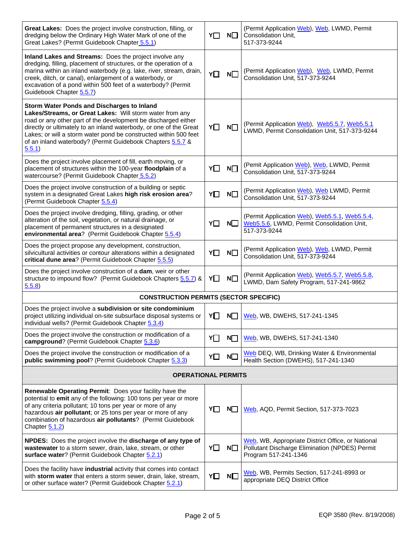| Great Lakes: Does the project involve construction, filling, or<br>dredging below the Ordinary High Water Mark of one of the<br>Great Lakes? (Permit Guidebook Chapter 5.5.1)                                                                                                                                                                                                             | Y  | $N\square$ | (Permit Application Web), Web, LWMD, Permit<br>Consolidation Unit,<br>517-373-9244                                          |  |  |
|-------------------------------------------------------------------------------------------------------------------------------------------------------------------------------------------------------------------------------------------------------------------------------------------------------------------------------------------------------------------------------------------|----|------------|-----------------------------------------------------------------------------------------------------------------------------|--|--|
| Inland Lakes and Streams: Does the project involve any<br>dredging, filling, placement of structures, or the operation of a<br>marina within an inland waterbody (e.g. lake, river, stream, drain,<br>creek, ditch, or canal), enlargement of a waterbody, or<br>excavation of a pond within 500 feet of a waterbody? (Permit<br>Guidebook Chapter 5.5.7)                                 | Y□ | $N\square$ | (Permit Application Web), Web, LWMD, Permit<br>Consolidation Unit, 517-373-9244                                             |  |  |
| Storm Water Ponds and Discharges to Inland<br>Lakes/Streams, or Great Lakes: Will storm water from any<br>road or any other part of the development be discharged either<br>directly or ultimately to an inland waterbody, or one of the Great<br>Lakes; or will a storm water pond be constructed within 500 feet<br>of an inland waterbody? (Permit Guidebook Chapters 5.5.7 &<br>5.5.1 | Y□ | $N\square$ | (Permit Application Web), Web5.5.7, Web5.5.1<br>LWMD, Permit Consolidation Unit, 517-373-9244                               |  |  |
| Does the project involve placement of fill, earth moving, or<br>placement of structures within the 100-year floodplain of a<br>watercourse? (Permit Guidebook Chapter 5.5.2)                                                                                                                                                                                                              | Y□ | $N$ $\Box$ | (Pemit Application Web), Web, LWMD, Permit<br>Consolidation Unit, 517-373-9244                                              |  |  |
| Does the project involve construction of a building or septic<br>system in a designated Great Lakes high risk erosion area?<br>(Permit Guidebook Chapter 5.5.4)                                                                                                                                                                                                                           | YO | $N\square$ | (Permit Application Web), Web LWMD, Permit<br>Consolidation Unit, 517-373-9244                                              |  |  |
| Does the project involve dredging, filling, grading, or other<br>alteration of the soil, vegetation, or natural drainage, or<br>placement of permanent structures in a designated<br>environmental area? (Permit Guidebook Chapter 5.5.4)                                                                                                                                                 | YO | N□         | (Permit Application Web), Web5.5.1, Web5.5.4,<br>Web5.5.6, LWMD, Permit Consolidation Unit,<br>517-373-9244                 |  |  |
| Does the project propose any development, construction,<br>silvicultural activities or contour alterations within a designated<br>critical dune area? (Permit Guidebook Chapter 5.5.5)                                                                                                                                                                                                    | YO | $N\square$ | (Permit Application Web), Web, LWMD, Permit<br>Consolidation Unit, 517-373-9244                                             |  |  |
| Does the project involve construction of a dam, weir or other<br>structure to impound flow? (Permit Guidebook Chapters 5.5.7) &<br>5.5.8                                                                                                                                                                                                                                                  | Y□ | $N\square$ | (Permit Application Web), Web5.5.7, Web5.5.8,<br>LWMD, Dam Safety Program, 517-241-9862                                     |  |  |
| <b>CONSTRUCTION PERMITS (SECTOR SPECIFIC)</b>                                                                                                                                                                                                                                                                                                                                             |    |            |                                                                                                                             |  |  |
| Does the project involve a subdivision or site condominium<br>project utilizing individual on-site subsurface disposal systems or<br>individual wells? (Permit Guidebook Chapter 5.3.4)                                                                                                                                                                                                   | YП | N          | Web, WB, DWEHS, 517-241-1345                                                                                                |  |  |
| Does the project involve the construction or modification of a<br>campground? (Permit Guidebook Chapter 5.3.6)                                                                                                                                                                                                                                                                            | YΠ | N          | Web, WB, DWEHS, 517-241-1340                                                                                                |  |  |
| Does the project involve the construction or modification of a<br>public swimming pool? (Permit Guidebook Chapter 5.3.3)                                                                                                                                                                                                                                                                  | YO | $N\square$ | Web DEQ, WB, Drinking Water & Environmental<br>Health Section (DWEHS), 517-241-1340                                         |  |  |
| <b>OPERATIONAL PERMITS</b>                                                                                                                                                                                                                                                                                                                                                                |    |            |                                                                                                                             |  |  |
| Renewable Operating Permit: Does your facility have the<br>potential to emit any of the following: 100 tons per year or more<br>of any criteria pollutant; 10 tons per year or more of any<br>hazardous air pollutant; or 25 tons per year or more of any<br>combination of hazardous air pollutants? (Permit Guidebook<br>Chapter $5.1.2$                                                | Y□ | $N\square$ | Web, AQD, Permit Section, 517-373-7023                                                                                      |  |  |
| NPDES: Does the project involve the discharge of any type of<br>wastewater to a storm sewer, drain, lake, stream, or other<br>surface water? (Permit Guidebook Chapter 5.2.1)                                                                                                                                                                                                             | Υ∐ | $N\square$ | Web, WB, Appropriate District Office, or National<br>Pollutant Discharge Elimination (NPDES) Permit<br>Program 517-241-1346 |  |  |
| Does the facility have industrial activity that comes into contact<br>with storm water that enters a storm sewer, drain, lake, stream,<br>or other surface water? (Permit Guidebook Chapter 5.2.1)                                                                                                                                                                                        | Y□ | $N\square$ | Web, WB, Permits Section, 517-241-8993 or<br>appropriate DEQ District Office                                                |  |  |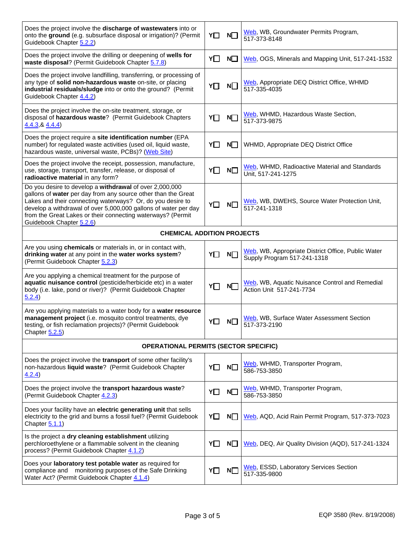| Does the project involve the <b>discharge of wastewaters</b> into or<br>onto the ground (e.g. subsurface disposal or irrigation)? (Permit<br>Guidebook Chapter 5.2.2)                                                                                                                                                                                | Y□         | $N\square$ | Web, WB, Groundwater Permits Program,<br>517-373-8148                             |  |
|------------------------------------------------------------------------------------------------------------------------------------------------------------------------------------------------------------------------------------------------------------------------------------------------------------------------------------------------------|------------|------------|-----------------------------------------------------------------------------------|--|
| Does the project involve the drilling or deepening of wells for<br>waste disposal? (Permit Guidebook Chapter 5.7.8)                                                                                                                                                                                                                                  | Y□         | No         | Web, OGS, Minerals and Mapping Unit, 517-241-1532                                 |  |
| Does the project involve landfilling, transferring, or processing of<br>any type of solid non-hazardous waste on-site, or placing<br>industrial residuals/sludge into or onto the ground? (Permit<br>Guidebook Chapter 4.4.2)                                                                                                                        | Y□         | $N\square$ | Web, Appropriate DEQ District Office, WHMD<br>517-335-4035                        |  |
| Does the project involve the on-site treatment, storage, or<br>disposal of hazardous waste? (Permit Guidebook Chapters<br>4.4.3, 84.4.4                                                                                                                                                                                                              | Y□         | $N\square$ | Web, WHMD, Hazardous Waste Section,<br>517-373-9875                               |  |
| Does the project require a site identification number (EPA<br>number) for regulated waste activities (used oil, liquid waste,<br>hazardous waste, universal waste, PCBs)? (Web Site)                                                                                                                                                                 | Y□         | N          | WHMD, Appropriate DEQ District Office                                             |  |
| Does the project involve the receipt, possession, manufacture,<br>use, storage, transport, transfer, release, or disposal of<br>radioactive material in any form?                                                                                                                                                                                    | YΠ         | $N\square$ | Web, WHMD, Radioactive Material and Standards<br>Unit, 517-241-1275               |  |
| Do you desire to develop a withdrawal of over 2,000,000<br>gallons of water per day from any source other than the Great<br>Lakes and their connecting waterways? Or, do you desire to<br>develop a withdrawal of over 5,000,000 gallons of water per day<br>from the Great Lakes or their connecting waterways? (Permit<br>Guidebook Chapter 5.2.6) | Y□         | $N\square$ | Web, WB, DWEHS, Source Water Protection Unit,<br>517-241-1318                     |  |
| <b>CHEMICAL ADDITION PROJECTS</b>                                                                                                                                                                                                                                                                                                                    |            |            |                                                                                   |  |
| Are you using chemicals or materials in, or in contact with,<br>drinking water at any point in the water works system?<br>(Permit Guidebook Chapter 5.2.3)                                                                                                                                                                                           | Y□         | $N\square$ | Web, WB, Appropriate District Office, Public Water<br>Supply Program 517-241-1318 |  |
| Are you applying a chemical treatment for the purpose of<br>aquatic nuisance control (pesticide/herbicide etc) in a water<br>body (i.e. lake, pond or river)? (Permit Guidebook Chapter<br>5.2.4)                                                                                                                                                    | $Y\square$ | N          | Web, WB, Aquatic Nuisance Control and Remedial<br>Action Unit 517-241-7734        |  |
| Are you applying materials to a water body for a water resource<br>management project (i.e. mosquito control treatments, dye<br>testing, or fish reclamation projects)? (Permit Guidebook<br>Chapter 5.2.5)                                                                                                                                          | Y□         | Ν□         | Web, WB, Surface Water Assessment Section<br>517-373-2190                         |  |
| <b>OPERATIONAL PERMITS (SECTOR SPECIFIC)</b>                                                                                                                                                                                                                                                                                                         |            |            |                                                                                   |  |
| Does the project involve the transport of some other facility's<br>non-hazardous liquid waste? (Permit Guidebook Chapter<br>4.2.4)                                                                                                                                                                                                                   | Y□         | $N\square$ | Web, WHMD, Transporter Program,<br>586-753-3850                                   |  |
| Does the project involve the transport hazardous waste?<br>(Permit Guidebook Chapter 4.2.3)                                                                                                                                                                                                                                                          | Y□         | $N\square$ | Web, WHMD, Transporter Program,<br>586-753-3850                                   |  |
| Does your facility have an electric generating unit that sells<br>electricity to the grid and burns a fossil fuel? (Permit Guidebook<br>Chapter 5.1.1)                                                                                                                                                                                               | Y□         | $N\square$ | Web, AQD, Acid Rain Permit Program, 517-373-7023                                  |  |
| Is the project a dry cleaning establishment utilizing<br>perchloroethylene or a flammable solvent in the cleaning<br>process? (Permit Guidebook Chapter 4.1.2)                                                                                                                                                                                       | YO         | $N\square$ | Web, DEQ, Air Quality Division (AQD), 517-241-1324                                |  |
| Does your laboratory test potable water as required for<br>monitoring purposes of the Safe Drinking<br>compliance and<br>Water Act? (Permit Guidebook Chapter 4.1.4)                                                                                                                                                                                 | Y□         | $N\square$ | Web, ESSD, Laboratory Services Section<br>517-335-9800                            |  |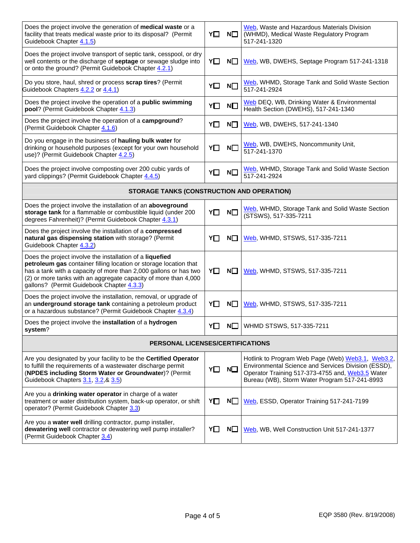| Does the project involve the generation of medical waste or a<br>facility that treats medical waste prior to its disposal? (Permit<br>Guidebook Chapter 4.1.5)                                                                                                                                                    | Y□ | $N\square$ | Web, Waste and Hazardous Materials Division<br>(WHMD), Medical Waste Regulatory Program<br>517-241-1320                                                                                                       |  |  |
|-------------------------------------------------------------------------------------------------------------------------------------------------------------------------------------------------------------------------------------------------------------------------------------------------------------------|----|------------|---------------------------------------------------------------------------------------------------------------------------------------------------------------------------------------------------------------|--|--|
| Does the project involve transport of septic tank, cesspool, or dry<br>well contents or the discharge of septage or sewage sludge into<br>or onto the ground? (Permit Guidebook Chapter 4.2.1)                                                                                                                    | Υ□ | $N\square$ | Web, WB, DWEHS, Septage Program 517-241-1318                                                                                                                                                                  |  |  |
| Do you store, haul, shred or process scrap tires? (Permit<br>Guidebook Chapters 4.2.2 or 4.4.1)                                                                                                                                                                                                                   | Y□ | $N\square$ | Web, WHMD, Storage Tank and Solid Waste Section<br>517-241-2924                                                                                                                                               |  |  |
| Does the project involve the operation of a public swimming<br>pool? (Permit Guidebook Chapter 4.1.3)                                                                                                                                                                                                             | YO | $N\square$ | Web DEQ, WB, Drinking Water & Environmental<br>Health Section (DWEHS), 517-241-1340                                                                                                                           |  |  |
| Does the project involve the operation of a campground?<br>(Permit Guidebook Chapter 4.1.6)                                                                                                                                                                                                                       | Y□ | $N\square$ | Web, WB, DWEHS, 517-241-1340                                                                                                                                                                                  |  |  |
| Do you engage in the business of hauling bulk water for<br>drinking or household purposes (except for your own household<br>use)? (Permit Guidebook Chapter 4.2.5)                                                                                                                                                | Y□ | $N\square$ | Web, WB, DWEHS, Noncommunity Unit,<br>517-241-1370                                                                                                                                                            |  |  |
| Does the project involve composting over 200 cubic yards of<br>yard clippings? (Permit Guidebook Chapter 4.4.5)                                                                                                                                                                                                   | Y□ | $N\square$ | Web, WHMD, Storage Tank and Solid Waste Section<br>517-241-2924                                                                                                                                               |  |  |
| STORAGE TANKS (CONSTRUCTION AND OPERATION)                                                                                                                                                                                                                                                                        |    |            |                                                                                                                                                                                                               |  |  |
| Does the project involve the installation of an aboveground<br>storage tank for a flammable or combustible liquid (under 200<br>degrees Fahrenheit)? (Permit Guidebook Chapter 4.3.1)                                                                                                                             | Y□ | $N\square$ | Web, WHMD, Storage Tank and Solid Waste Section<br>(STSWS), 517-335-7211                                                                                                                                      |  |  |
| Does the project involve the installation of a compressed<br>natural gas dispensing station with storage? (Permit<br>Guidebook Chapter 4.3.2)                                                                                                                                                                     | YП | $N\square$ | Web, WHMD, STSWS, 517-335-7211                                                                                                                                                                                |  |  |
| Does the project involve the installation of a liquefied<br>petroleum gas container filling location or storage location that<br>has a tank with a capacity of more than 2,000 gallons or has two<br>(2) or more tanks with an aggregate capacity of more than 4,000<br>gallons? (Permit Guidebook Chapter 4.3.3) | Y□ | $N\square$ | Web, WHMD, STSWS, 517-335-7211                                                                                                                                                                                |  |  |
| Does the project involve the installation, removal, or upgrade of<br>an underground storage tank containing a petroleum product<br>or a hazardous substance? (Permit Guidebook Chapter 4.3.4)                                                                                                                     | Y□ | $N\square$ | Web, WHMD, STSWS, 517-335-7211                                                                                                                                                                                |  |  |
| Does the project involve the installation of a hydrogen<br>system?                                                                                                                                                                                                                                                | Y□ | $N\square$ | WHMD STSWS, 517-335-7211                                                                                                                                                                                      |  |  |
| PERSONAL LICENSES/CERTIFICATIONS                                                                                                                                                                                                                                                                                  |    |            |                                                                                                                                                                                                               |  |  |
| Are you designated by your facility to be the Certified Operator<br>to fulfill the requirements of a wastewater discharge permit<br>(NPDES including Storm Water or Groundwater)? (Permit<br>Guidebook Chapters 3.1, 3.2, & 3.5)                                                                                  | YO | $N\square$ | Hotlink to Program Web Page (Web) Web3.1, Web3.2,<br>Environmental Science and Services Division (ESSD),<br>Operator Training 517-373-4755 and, Web3.5 Water<br>Bureau (WB), Storm Water Program 517-241-8993 |  |  |
| Are you a drinking water operator in charge of a water<br>treatment or water distribution system, back-up operator, or shift<br>operator? (Permit Guidebook Chapter 3.3)                                                                                                                                          | YO | $N\square$ | Web, ESSD, Operator Training 517-241-7199                                                                                                                                                                     |  |  |
| Are you a water well drilling contractor, pump installer,<br>dewatering well contractor or dewatering well pump installer?<br>(Permit Guidebook Chapter 3.4)                                                                                                                                                      | Y□ | $N\square$ | Web, WB, Well Construction Unit 517-241-1377                                                                                                                                                                  |  |  |